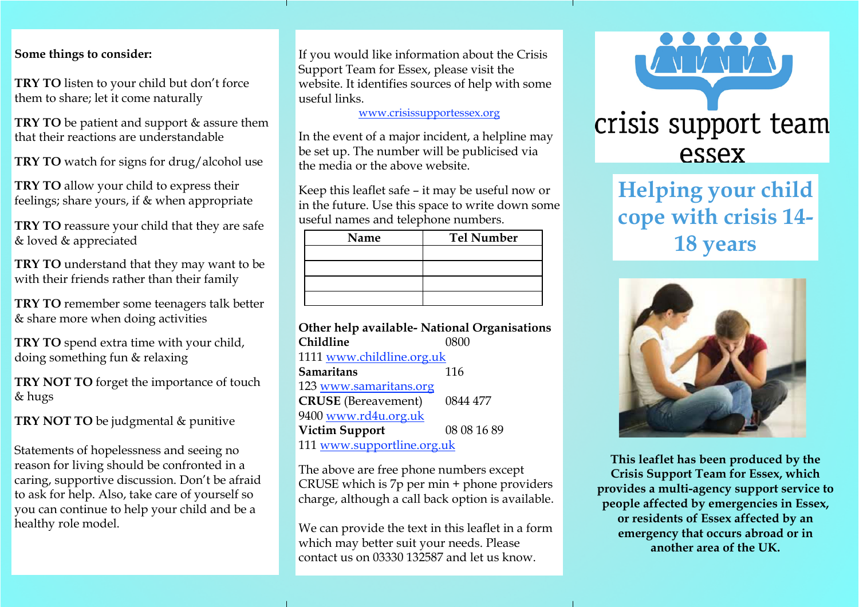#### **Some things to consider:**

**TRY TO** listen to your child but don't force them to share; let it come naturally

**TRY TO** be patient and support & assure them that their reactions are understandable

**TRY TO** watch for signs for drug/alcohol use

**TRY TO** allow your child to express their feelings; share yours, if & when appropriate

**TRY TO** reassure your child that they are safe & loved & appreciated

**TRY TO** understand that they may want to be with their friends rather than their family

**TRY TO** remember some teenagers talk better & share more when doing activities

**TRY TO** spend extra time with your child, doing something fun & relaxing

**TRY NOT TO** forget the importance of touch & hugs

**TRY NOT TO** be judgmental & punitive

Statements of hopelessness and seeing no reason for living should be confronted in a caring, supportive discussion. Don't be afraid to ask for help. Also, take care of yourself so you can continue to help your child and be a healthy role model.

If you would like information about the Crisis Support Team for Essex, please visit the website. It identifies sources of help with some useful links.

[www.crisissupportessex.org](http://www.crisissupportessex.org/)

In the event of a major incident, a helpline may be set up. The number will be publicised via the media or the above website.

Keep this leaflet safe – it may be useful now or in the future. Use this space to write down some useful names and telephone numbers.

| Name | <b>Tel Number</b> |
|------|-------------------|
|      |                   |
|      |                   |
|      |                   |
|      |                   |

| Other help available- National Organisations |             |  |
|----------------------------------------------|-------------|--|
| Childline                                    | 0800        |  |
| 1111 www.childline.org.uk                    |             |  |
| <b>Samaritans</b>                            | 116         |  |
| 123 www.samaritans.org                       |             |  |
| <b>CRUSE</b> (Bereavement)                   | 0844 477    |  |
| 9400 www.rd4u.org.uk                         |             |  |
| <b>Victim Support</b>                        | 08 08 16 89 |  |
| 111 www.supportline.org.uk                   |             |  |

The above are free phone numbers except CRUSE which is 7p per min + phone providers charge, although a call back option is available.

We can provide the text in this leaflet in a form which may better suit your needs. Please contact us on 03330 132587 and let us know.



# **Helping your child cope with crisis 14- 18 years**



**This leaflet has been produced by the Crisis Support Team for Essex, which provides a multi-agency support service to people affected by emergencies in Essex, or residents of Essex affected by an emergency that occurs abroad or in another area of the UK.**